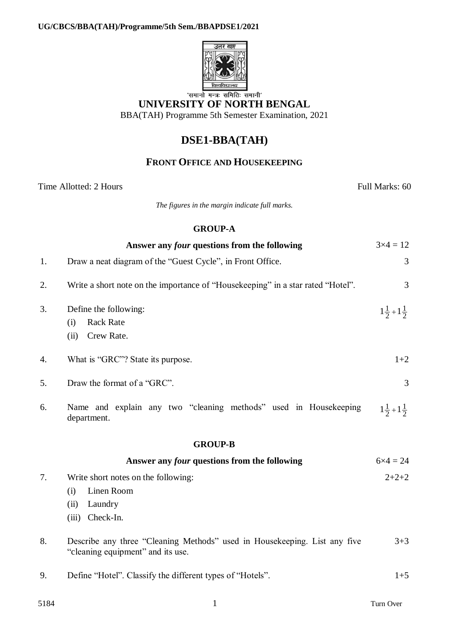

## **UNIVERSITY OF NORTH BENGAL**

BBA(TAH) Programme 5th Semester Examination, 2021

# **DSE1-BBA(TAH)**

### **FRONT OFFICE AND HOUSEKEEPING**

Time Allotted: 2 Hours Full Marks: 60

*The figures in the margin indicate full marks.*

#### **GROUP-A**

|                | Answer any four questions from the following                                                                   | $3 \times 4 = 12$           |
|----------------|----------------------------------------------------------------------------------------------------------------|-----------------------------|
| 1.             | Draw a neat diagram of the "Guest Cycle", in Front Office.                                                     | 3                           |
| 2.             | Write a short note on the importance of "Housekeeping" in a star rated "Hotel".                                | $\overline{3}$              |
| 3.             | Define the following:<br><b>Rack Rate</b><br>(i)<br>Crew Rate.<br>(ii)                                         | $1\frac{1}{2}+1\frac{1}{2}$ |
| 4.             | What is "GRC"? State its purpose.                                                                              | $1+2$                       |
| 5.             | Draw the format of a "GRC".                                                                                    | 3                           |
| 6.             | Name and explain any two "cleaning methods" used in Housekeeping<br>department.                                | $1\frac{1}{2}+1\frac{1}{2}$ |
| <b>GROUP-B</b> |                                                                                                                |                             |
|                | Answer any <i>four</i> questions from the following                                                            | $6 \times 4 = 24$           |
| 7.             | Write short notes on the following:<br>Linen Room<br>(i)<br>Laundry<br>(ii)<br>Check-In.<br>(iii)              | $2+2+2$                     |
| 8.             | Describe any three "Cleaning Methods" used in Housekeeping. List any five<br>"cleaning equipment" and its use. | $3 + 3$                     |
| 9.             | Define "Hotel". Classify the different types of "Hotels".                                                      | $1 + 5$                     |